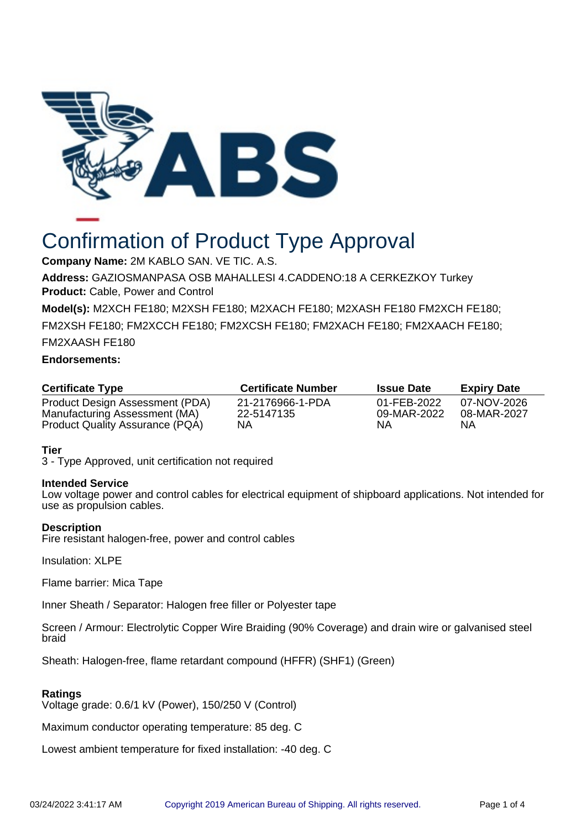

# Confirmation of Product Type Approval

**Company Name:** 2M KABLO SAN. VE TIC. A.S.

**Address:** GAZIOSMANPASA OSB MAHALLESI 4.CADDENO:18 A CERKEZKOY Turkey **Product:** Cable, Power and Control

**Model(s):** M2XCH FE180; M2XSH FE180; M2XACH FE180; M2XASH FE180 FM2XCH FE180;

FM2XSH FE180; FM2XCCH FE180; FM2XCSH FE180; FM2XACH FE180; FM2XAACH FE180;

FM2XAASH FE180

# **Endorsements:**

| <b>Certificate Type</b>         | <b>Certificate Number</b> | <b>Issue Date</b> | <b>Expiry Date</b> |
|---------------------------------|---------------------------|-------------------|--------------------|
| Product Design Assessment (PDA) | 21-2176966-1-PDA          | 01-FEB-2022       | 07-NOV-2026        |
| Manufacturing Assessment (MA)   | 22-5147135                | 09-MAR-2022       | 08-MAR-2027        |
| Product Quality Assurance (PQA) | NΑ                        | NА                | ΝA                 |

# **Tier**

3 - Type Approved, unit certification not required

# **Intended Service**

Low voltage power and control cables for electrical equipment of shipboard applications. Not intended for use as propulsion cables.

# **Description**

Fire resistant halogen-free, power and control cables

Insulation: XLPE

Flame barrier: Mica Tape

Inner Sheath / Separator: Halogen free filler or Polyester tape

Screen / Armour: Electrolytic Copper Wire Braiding (90% Coverage) and drain wire or galvanised steel braid

Sheath: Halogen-free, flame retardant compound (HFFR) (SHF1) (Green)

# **Ratings**

Voltage grade: 0.6/1 kV (Power), 150/250 V (Control)

Maximum conductor operating temperature: 85 deg. C

Lowest ambient temperature for fixed installation: -40 deg. C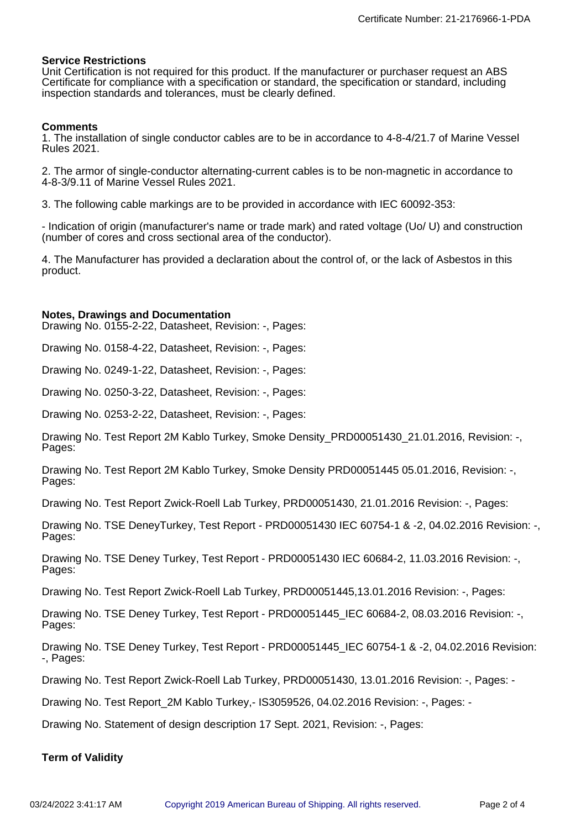# **Service Restrictions**

Unit Certification is not required for this product. If the manufacturer or purchaser request an ABS Certificate for compliance with a specification or standard, the specification or standard, including inspection standards and tolerances, must be clearly defined.

# **Comments**

1. The installation of single conductor cables are to be in accordance to 4-8-4/21.7 of Marine Vessel Rules 2021.

2. The armor of single-conductor alternating-current cables is to be non-magnetic in accordance to 4-8-3/9.11 of Marine Vessel Rules 2021.

3. The following cable markings are to be provided in accordance with IEC 60092-353:

- Indication of origin (manufacturer's name or trade mark) and rated voltage (Uo/ U) and construction (number of cores and cross sectional area of the conductor).

4. The Manufacturer has provided a declaration about the control of, or the lack of Asbestos in this product.

#### **Notes, Drawings and Documentation**

Drawing No. 0155-2-22, Datasheet, Revision: -, Pages:

Drawing No. 0158-4-22, Datasheet, Revision: -, Pages:

Drawing No. 0249-1-22, Datasheet, Revision: -, Pages:

Drawing No. 0250-3-22, Datasheet, Revision: -, Pages:

Drawing No. 0253-2-22, Datasheet, Revision: -, Pages:

Drawing No. Test Report 2M Kablo Turkey, Smoke Density PRD00051430 21.01.2016, Revision: -, Pages:

Drawing No. Test Report 2M Kablo Turkey, Smoke Density PRD00051445 05.01.2016, Revision: -, Pages:

Drawing No. Test Report Zwick-Roell Lab Turkey, PRD00051430, 21.01.2016 Revision: -, Pages:

Drawing No. TSE DeneyTurkey, Test Report - PRD00051430 IEC 60754-1 & -2, 04.02.2016 Revision: -, Pages:

Drawing No. TSE Deney Turkey, Test Report - PRD00051430 IEC 60684-2, 11.03.2016 Revision: -, Pages:

Drawing No. Test Report Zwick-Roell Lab Turkey, PRD00051445,13.01.2016 Revision: -, Pages:

Drawing No. TSE Deney Turkey, Test Report - PRD00051445\_IEC 60684-2, 08.03.2016 Revision: -, Pages:

Drawing No. TSE Deney Turkey, Test Report - PRD00051445 IEC 60754-1 & -2, 04.02.2016 Revision: -, Pages:

Drawing No. Test Report Zwick-Roell Lab Turkey, PRD00051430, 13.01.2016 Revision: -, Pages: -

Drawing No. Test Report\_2M Kablo Turkey,- IS3059526, 04.02.2016 Revision: -, Pages: -

Drawing No. Statement of design description 17 Sept. 2021, Revision: -, Pages:

# **Term of Validity**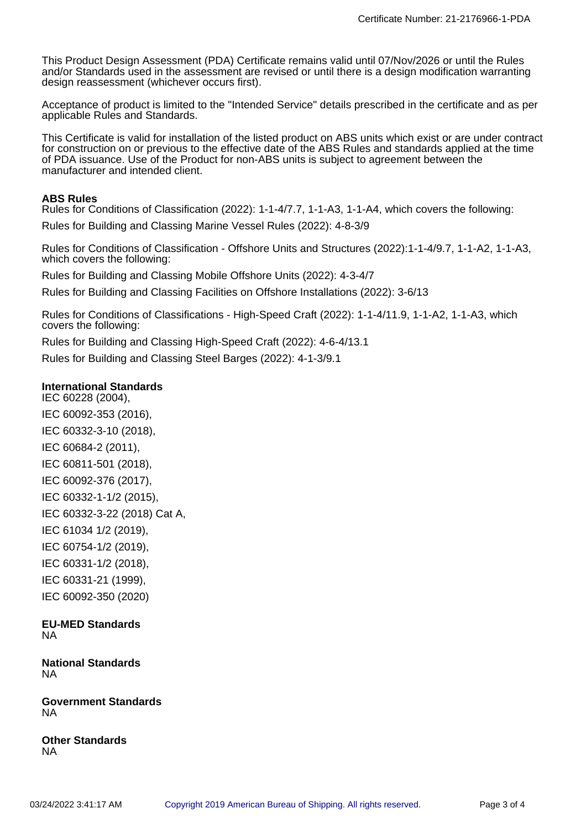This Product Design Assessment (PDA) Certificate remains valid until 07/Nov/2026 or until the Rules and/or Standards used in the assessment are revised or until there is a design modification warranting design reassessment (whichever occurs first).

Acceptance of product is limited to the "Intended Service" details prescribed in the certificate and as per applicable Rules and Standards.

This Certificate is valid for installation of the listed product on ABS units which exist or are under contract for construction on or previous to the effective date of the ABS Rules and standards applied at the time of PDA issuance. Use of the Product for non-ABS units is subject to agreement between the manufacturer and intended client.

# **ABS Rules**

Rules for Conditions of Classification (2022): 1-1-4/7.7, 1-1-A3, 1-1-A4, which covers the following: Rules for Building and Classing Marine Vessel Rules (2022): 4-8-3/9

Rules for Conditions of Classification - Offshore Units and Structures (2022):1-1-4/9.7, 1-1-A2, 1-1-A3, which covers the following:

Rules for Building and Classing Mobile Offshore Units (2022): 4-3-4/7

Rules for Building and Classing Facilities on Offshore Installations (2022): 3-6/13

Rules for Conditions of Classifications - High-Speed Craft (2022): 1-1-4/11.9, 1-1-A2, 1-1-A3, which covers the following:

Rules for Building and Classing High-Speed Craft (2022): 4-6-4/13.1 Rules for Building and Classing Steel Barges (2022): 4-1-3/9.1

# **International Standards**

IEC 60228 (2004), IEC 60092-353 (2016), IEC 60332-3-10 (2018), IEC 60684-2 (2011), IEC 60811-501 (2018), IEC 60092-376 (2017), IEC 60332-1-1/2 (2015), IEC 60332-3-22 (2018) Cat A, IEC 61034 1/2 (2019), IEC 60754-1/2 (2019), IEC 60331-1/2 (2018), IEC 60331-21 (1999), IEC 60092-350 (2020)

**EU-MED Standards** NA

**National Standards** NA

**Government Standards** NA

**Other Standards** NA